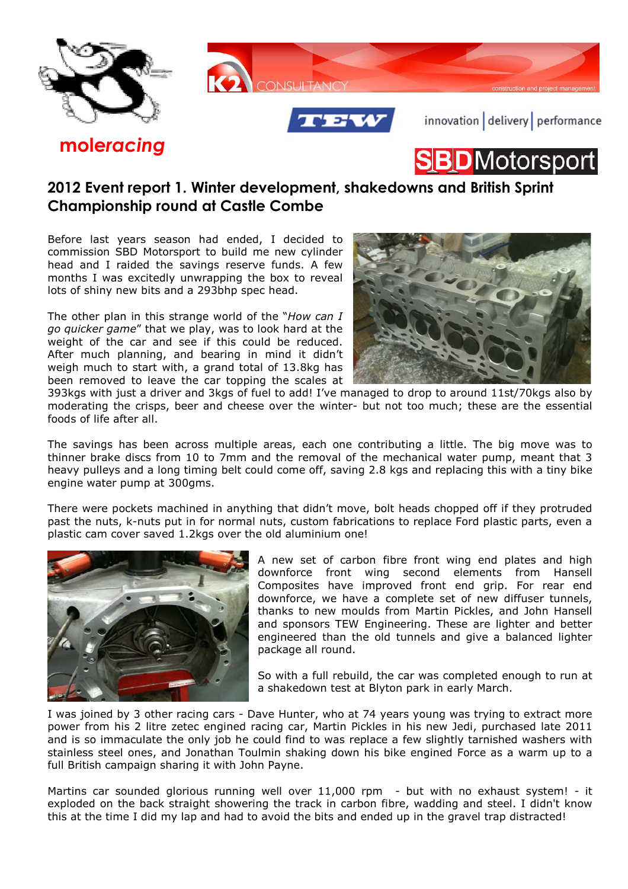

**D**Motorsport

## **2012 Event report 1. Winter development, shakedowns and British Sprint Championship round at Castle Combe**

Before last years season had ended, I decided to commission SBD Motorsport to build me new cylinder head and I raided the savings reserve funds. A few months I was excitedly unwrapping the box to reveal lots of shiny new bits and a 293bhp spec head.

**mole***racing*

The other plan in this strange world of the "*How can I go quicker game*" that we play, was to look hard at the weight of the car and see if this could be reduced. After much planning, and bearing in mind it didn't weigh much to start with, a grand total of 13.8kg has been removed to leave the car topping the scales at



393kgs with just a driver and 3kgs of fuel to add! I've managed to drop to around 11st/70kgs also by moderating the crisps, beer and cheese over the winter- but not too much; these are the essential foods of life after all.

The savings has been across multiple areas, each one contributing a little. The big move was to thinner brake discs from 10 to 7mm and the removal of the mechanical water pump, meant that 3 heavy pulleys and a long timing belt could come off, saving 2.8 kgs and replacing this with a tiny bike engine water pump at 300gms.

There were pockets machined in anything that didn't move, bolt heads chopped off if they protruded past the nuts, k-nuts put in for normal nuts, custom fabrications to replace Ford plastic parts, even a plastic cam cover saved 1.2kgs over the old aluminium one!



A new set of carbon fibre front wing end plates and high downforce front wing second elements from Hansell Composites have improved front end grip. For rear end downforce, we have a complete set of new diffuser tunnels, thanks to new moulds from Martin Pickles, and John Hansell and sponsors TEW Engineering. These are lighter and better engineered than the old tunnels and give a balanced lighter package all round.

So with a full rebuild, the car was completed enough to run at a shakedown test at Blyton park in early March.

I was joined by 3 other racing cars - Dave Hunter, who at 74 years young was trying to extract more power from his 2 litre zetec engined racing car, Martin Pickles in his new Jedi, purchased late 2011 and is so immaculate the only job he could find to was replace a few slightly tarnished washers with stainless steel ones, and Jonathan Toulmin shaking down his bike engined Force as a warm up to a full British campaign sharing it with John Payne.

Martins car sounded glorious running well over 11,000 rpm - but with no exhaust system! - it exploded on the back straight showering the track in carbon fibre, wadding and steel. I didn't know this at the time I did my lap and had to avoid the bits and ended up in the gravel trap distracted!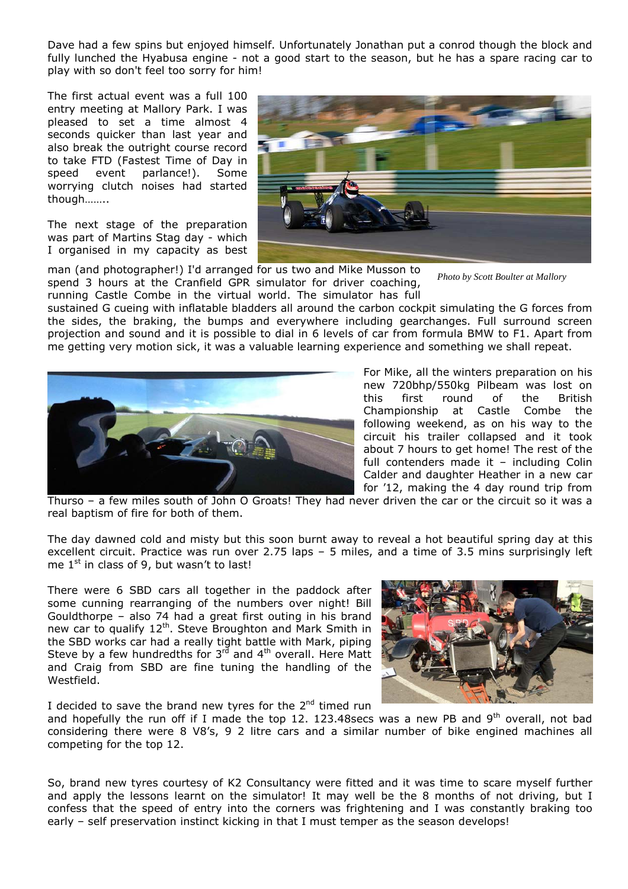Dave had a few spins but enjoyed himself. Unfortunately Jonathan put a conrod though the block and fully lunched the Hyabusa engine - not a good start to the season, but he has a spare racing car to play with so don't feel too sorry for him!

The first actual event was a full 100 entry meeting at Mallory Park. I was pleased to set a time almost 4 seconds quicker than last year and also break the outright course record to take FTD (Fastest Time of Day in speed event parlance!). Some worrying clutch noises had started though……..

The next stage of the preparation was part of Martins Stag day - which I organised in my capacity as best



man (and photographer!) I'd arranged for us two and Mike Musson to spend 3 hours at the Cranfield GPR simulator for driver coaching, running Castle Combe in the virtual world. The simulator has full

*Photo by Scott Boulter at Mallory* 

sustained G cueing with inflatable bladders all around the carbon cockpit simulating the G forces from the sides, the braking, the bumps and everywhere including gearchanges. Full surround screen projection and sound and it is possible to dial in 6 levels of car from formula BMW to F1. Apart from me getting very motion sick, it was a valuable learning experience and something we shall repeat.



For Mike, all the winters preparation on his new 720bhp/550kg Pilbeam was lost on this first round of the British Championship at Castle Combe the following weekend, as on his way to the circuit his trailer collapsed and it took about 7 hours to get home! The rest of the full contenders made it – including Colin Calder and daughter Heather in a new car for '12, making the 4 day round trip from

Thurso – a few miles south of John O Groats! They had never driven the car or the circuit so it was a real baptism of fire for both of them.

The day dawned cold and misty but this soon burnt away to reveal a hot beautiful spring day at this excellent circuit. Practice was run over 2.75 laps – 5 miles, and a time of 3.5 mins surprisingly left me  $1^{st}$  in class of 9, but wasn't to last!

There were 6 SBD cars all together in the paddock after some cunning rearranging of the numbers over night! Bill Gouldthorpe – also 74 had a great first outing in his brand new car to qualify 12<sup>th</sup>. Steve Broughton and Mark Smith in the SBD works car had a really tight battle with Mark, piping Steve by a few hundredths for  $3<sup>rd</sup>$  and  $4<sup>th</sup>$  overall. Here Matt and Craig from SBD are fine tuning the handling of the Westfield.

I decided to save the brand new tyres for the  $2<sup>nd</sup>$  timed run



and hopefully the run off if I made the top 12. 123.48secs was a new PB and 9<sup>th</sup> overall, not bad considering there were 8 V8's, 9 2 litre cars and a similar number of bike engined machines all competing for the top 12.

So, brand new tyres courtesy of K2 Consultancy were fitted and it was time to scare myself further and apply the lessons learnt on the simulator! It may well be the 8 months of not driving, but I confess that the speed of entry into the corners was frightening and I was constantly braking too early – self preservation instinct kicking in that I must temper as the season develops!